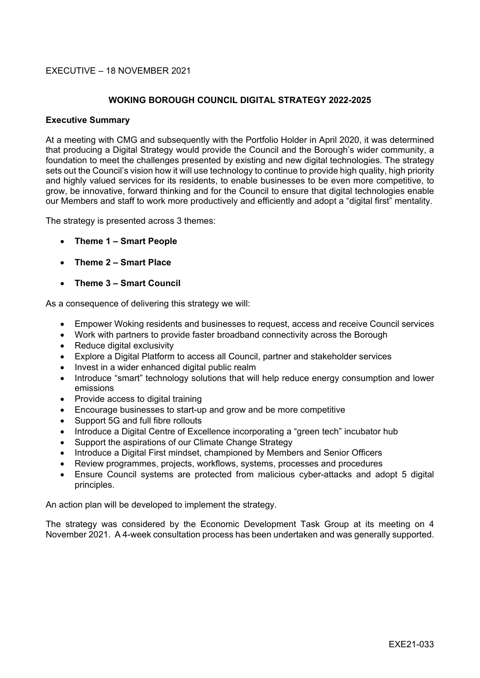## EXECUTIVE – 18 NOVEMBER 2021

## **WOKING BOROUGH COUNCIL DIGITAL STRATEGY 2022-2025**

#### **Executive Summary**

At a meeting with CMG and subsequently with the Portfolio Holder in April 2020, it was determined that producing a Digital Strategy would provide the Council and the Borough's wider community, a foundation to meet the challenges presented by existing and new digital technologies. The strategy sets out the Council's vision how it will use technology to continue to provide high quality, high priority and highly valued services for its residents, to enable businesses to be even more competitive, to grow, be innovative, forward thinking and for the Council to ensure that digital technologies enable our Members and staff to work more productively and efficiently and adopt a "digital first" mentality.

The strategy is presented across 3 themes:

- **Theme 1 – Smart People**
- **Theme 2 – Smart Place**
- **Theme 3 – Smart Council**

As a consequence of delivering this strategy we will:

- Empower Woking residents and businesses to request, access and receive Council services
- Work with partners to provide faster broadband connectivity across the Borough
- Reduce digital exclusivity
- Explore a Digital Platform to access all Council, partner and stakeholder services
- Invest in a wider enhanced digital public realm
- Introduce "smart" technology solutions that will help reduce energy consumption and lower emissions
- Provide access to digital training
- Encourage businesses to start-up and grow and be more competitive
- Support 5G and full fibre rollouts
- Introduce a Digital Centre of Excellence incorporating a "green tech" incubator hub
- Support the aspirations of our Climate Change Strategy
- Introduce a Digital First mindset, championed by Members and Senior Officers
- Review programmes, projects, workflows, systems, processes and procedures
- Ensure Council systems are protected from malicious cyber-attacks and adopt 5 digital principles.

An action plan will be developed to implement the strategy.

The strategy was considered by the Economic Development Task Group at its meeting on 4 November 2021. A 4-week consultation process has been undertaken and was generally supported.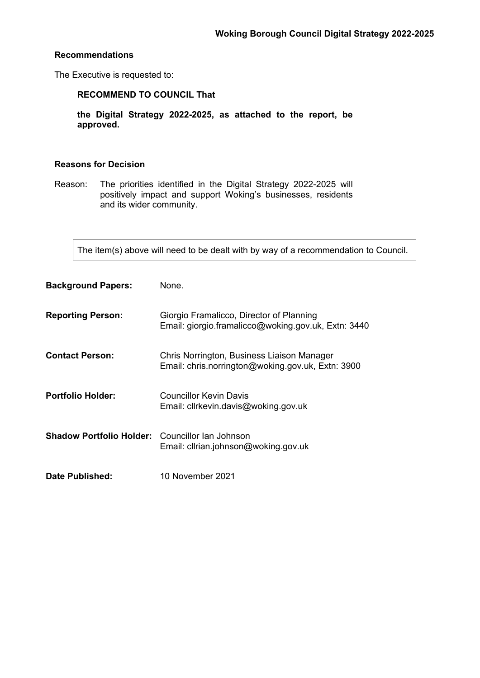## **Recommendations**

The Executive is requested to:

# **RECOMMEND TO COUNCIL That**

**the Digital Strategy 2022-2025, as attached to the report, be approved.**

## **Reasons for Decision**

Reason: The priorities identified in the Digital Strategy 2022-2025 will positively impact and support Woking's businesses, residents and its wider community.

The item(s) above will need to be dealt with by way of a recommendation to Council.

| <b>Background Papers:</b>                              | None.                                                                                           |
|--------------------------------------------------------|-------------------------------------------------------------------------------------------------|
| <b>Reporting Person:</b>                               | Giorgio Framalicco, Director of Planning<br>Email: giorgio.framalicco@woking.gov.uk, Extn: 3440 |
| <b>Contact Person:</b>                                 | Chris Norrington, Business Liaison Manager<br>Email: chris.norrington@woking.gov.uk, Extn: 3900 |
| <b>Portfolio Holder:</b>                               | Councillor Kevin Davis<br>Email: cllrkevin.davis@woking.gov.uk                                  |
| <b>Shadow Portfolio Holder:</b> Councillor Ian Johnson | Email: cllrian.johnson@woking.gov.uk                                                            |
| <b>Date Published:</b>                                 | 10 November 2021                                                                                |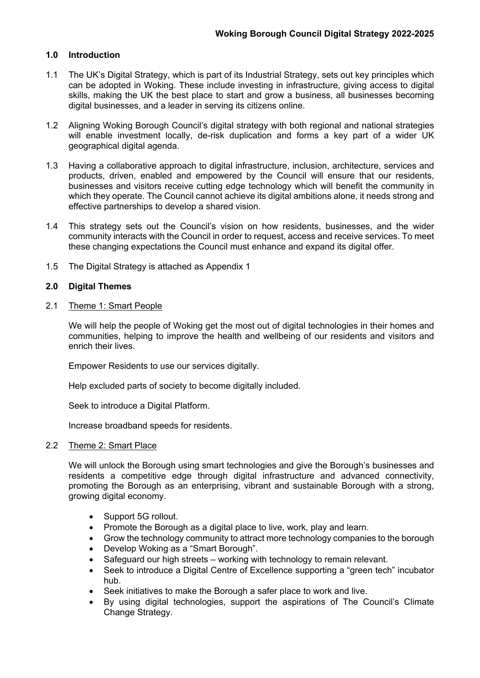## **1.0 Introduction**

- 1.1 The UK's Digital Strategy, which is part of its Industrial Strategy, sets out key principles which can be adopted in Woking. These include investing in infrastructure, giving access to digital skills, making the UK the best place to start and grow a business, all businesses becoming digital businesses, and a leader in serving its citizens online.
- 1.2 Aligning Woking Borough Council's digital strategy with both regional and national strategies will enable investment locally, de-risk duplication and forms a key part of a wider UK geographical digital agenda.
- 1.3 Having a collaborative approach to digital infrastructure, inclusion, architecture, services and products, driven, enabled and empowered by the Council will ensure that our residents, businesses and visitors receive cutting edge technology which will benefit the community in which they operate. The Council cannot achieve its digital ambitions alone, it needs strong and effective partnerships to develop a shared vision.
- 1.4 This strategy sets out the Council's vision on how residents, businesses, and the wider community interacts with the Council in order to request, access and receive services. To meet these changing expectations the Council must enhance and expand its digital offer.
- 1.5 The Digital Strategy is attached as Appendix 1

## **2.0 Digital Themes**

2.1 Theme 1: Smart People

We will help the people of Woking get the most out of digital technologies in their homes and communities, helping to improve the health and wellbeing of our residents and visitors and enrich their lives.

Empower Residents to use our services digitally.

Help excluded parts of society to become digitally included.

Seek to introduce a Digital Platform.

Increase broadband speeds for residents.

#### 2.2 Theme 2: Smart Place

We will unlock the Borough using smart technologies and give the Borough's businesses and residents a competitive edge through digital infrastructure and advanced connectivity, promoting the Borough as an enterprising, vibrant and sustainable Borough with a strong, growing digital economy.

- Support 5G rollout.
- Promote the Borough as a digital place to live, work, play and learn.
- Grow the technology community to attract more technology companies to the borough
- Develop Woking as a "Smart Borough".
- Safeguard our high streets working with technology to remain relevant.
- Seek to introduce a Digital Centre of Excellence supporting a "green tech" incubator hub.
- Seek initiatives to make the Borough a safer place to work and live.
- By using digital technologies, support the aspirations of The Council's Climate Change Strategy.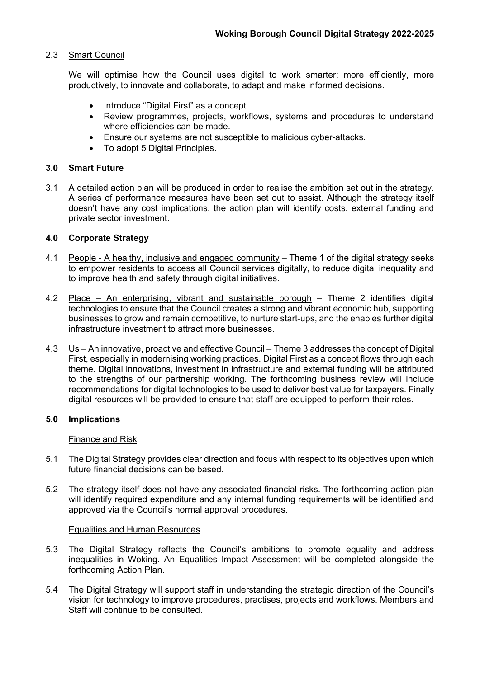## 2.3 Smart Council

We will optimise how the Council uses digital to work smarter: more efficiently, more productively, to innovate and collaborate, to adapt and make informed decisions.

- Introduce "Digital First" as a concept.
- Review programmes, projects, workflows, systems and procedures to understand where efficiencies can be made.
- Ensure our systems are not susceptible to malicious cyber-attacks.
- To adopt 5 Digital Principles.

#### **3.0 Smart Future**

3.1 A detailed action plan will be produced in order to realise the ambition set out in the strategy. A series of performance measures have been set out to assist. Although the strategy itself doesn't have any cost implications, the action plan will identify costs, external funding and private sector investment.

## **4.0 Corporate Strategy**

- 4.1 People A healthy, inclusive and engaged community Theme 1 of the digital strategy seeks to empower residents to access all Council services digitally, to reduce digital inequality and to improve health and safety through digital initiatives.
- 4.2 Place An enterprising, vibrant and sustainable borough Theme 2 identifies digital technologies to ensure that the Council creates a strong and vibrant economic hub, supporting businesses to grow and remain competitive, to nurture start-ups, and the enables further digital infrastructure investment to attract more businesses.
- 4.3 Us An innovative, proactive and effective Council Theme 3 addresses the concept of Digital First, especially in modernising working practices. Digital First as a concept flows through each theme. Digital innovations, investment in infrastructure and external funding will be attributed to the strengths of our partnership working. The forthcoming business review will include recommendations for digital technologies to be used to deliver best value for taxpayers. Finally digital resources will be provided to ensure that staff are equipped to perform their roles.

#### **5.0 Implications**

#### Finance and Risk

- 5.1 The Digital Strategy provides clear direction and focus with respect to its objectives upon which future financial decisions can be based.
- 5.2 The strategy itself does not have any associated financial risks. The forthcoming action plan will identify required expenditure and any internal funding requirements will be identified and approved via the Council's normal approval procedures.

#### Equalities and Human Resources

- 5.3 The Digital Strategy reflects the Council's ambitions to promote equality and address inequalities in Woking. An Equalities Impact Assessment will be completed alongside the forthcoming Action Plan.
- 5.4 The Digital Strategy will support staff in understanding the strategic direction of the Council's vision for technology to improve procedures, practises, projects and workflows. Members and Staff will continue to be consulted.